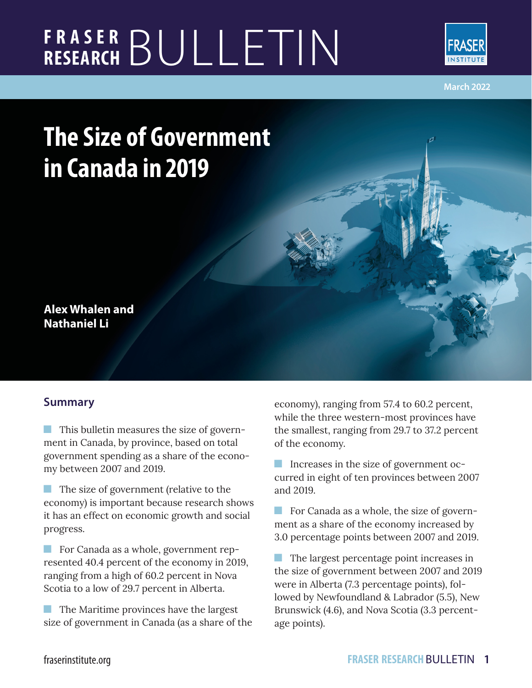# **FRASER RESEARCH** BULLETIN



**March 2022**

## **The Size of Government in Canada in 2019**

### **Alex Whalen and Nathaniel Li**

#### **Summary**

**This bulletin measures the size of govern**ment in Canada, by province, based on total government spending as a share of the economy between 2007 and 2019.

The size of government (relative to the economy) is important because research shows it has an effect on economic growth and social progress.

For Canada as a whole, government represented 40.4 percent of the economy in 2019, ranging from a high of 60.2 percent in Nova Scotia to a low of 29.7 percent in Alberta.

**The Maritime provinces have the largest** size of government in Canada (as a share of the economy), ranging from 57.4 to 60.2 percent, while the three western-most provinces have the smallest, ranging from 29.7 to 37.2 percent of the economy.

Increases in the size of government occurred in eight of ten provinces between 2007 and 2019.

For Canada as a whole, the size of government as a share of the economy increased by 3.0 percentage points between 2007 and 2019.

 The largest percentage point increases in the size of government between 2007 and 2019 were in Alberta (7.3 percentage points), followed by Newfoundland & Labrador (5.5), New Brunswick (4.6), and Nova Scotia (3.3 percentage points).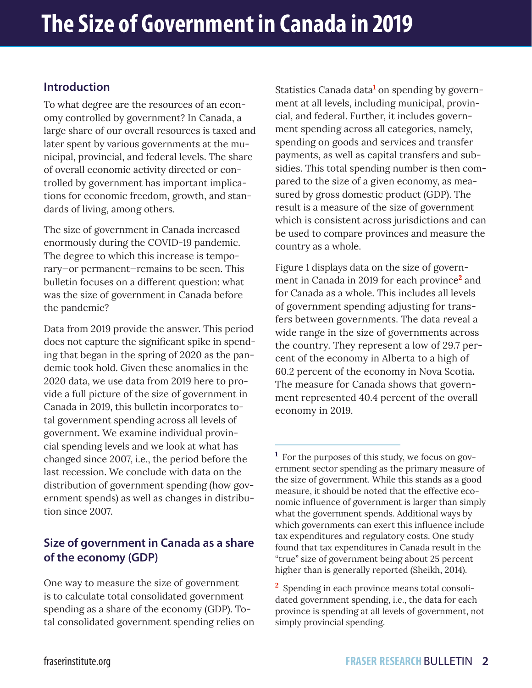#### **Introduction**

To what degree are the resources of an economy controlled by government? In Canada, a large share of our overall resources is taxed and later spent by various governments at the municipal, provincial, and federal levels. The share of overall economic activity directed or controlled by government has important implications for economic freedom, growth, and standards of living, among others.

The size of government in Canada increased enormously during the COVID-19 pandemic. The degree to which this increase is temporary—or permanent—remains to be seen. This bulletin focuses on a different question: what was the size of government in Canada before the pandemic?

Data from 2019 provide the answer. This period does not capture the significant spike in spending that began in the spring of 2020 as the pandemic took hold. Given these anomalies in the 2020 data, we use data from 2019 here to provide a full picture of the size of government in Canada in 2019, this bulletin incorporates total government spending across all levels of government. We examine individual provincial spending levels and we look at what has changed since 2007, i.e., the period before the last recession. We conclude with data on the distribution of government spending (how government spends) as well as changes in distribution since 2007.

#### **Size of government in Canada as a share of the economy (GDP)**

One way to measure the size of government is to calculate total consolidated government spending as a share of the economy (GDP). Total consolidated government spending relies on

Statistics Canada data<sup>1</sup> on spending by government at all levels, including municipal, provincial, and federal. Further, it includes government spending across all categories, namely, spending on goods and services and transfer payments, as well as capital transfers and subsidies. This total spending number is then compared to the size of a given economy, as measured by gross domestic product (GDP). The result is a measure of the size of government which is consistent across jurisdictions and can be used to compare provinces and measure the country as a whole.

Figure 1 displays data on the size of government in Canada in 2019 for each province**<sup>2</sup>** and for Canada as a whole. This includes all levels of government spending adjusting for transfers between governments. The data reveal a wide range in the size of governments across the country. They represent a low of 29.7 percent of the economy in Alberta to a high of 60.2 percent of the economy in Nova Scotia**.** The measure for Canada shows that government represented 40.4 percent of the overall economy in 2019.

**1** For the purposes of this study, we focus on government sector spending as the primary measure of the size of government. While this stands as a good measure, it should be noted that the effective economic influence of government is larger than simply what the government spends. Additional ways by which governments can exert this influence include tax expenditures and regulatory costs. One study found that tax expenditures in Canada result in the "true" size of government being about 25 percent higher than is generally reported (Sheikh, 2014).

**2** Spending in each province means total consolidated government spending, i.e., the data for each province is spending at all levels of government, not simply provincial spending.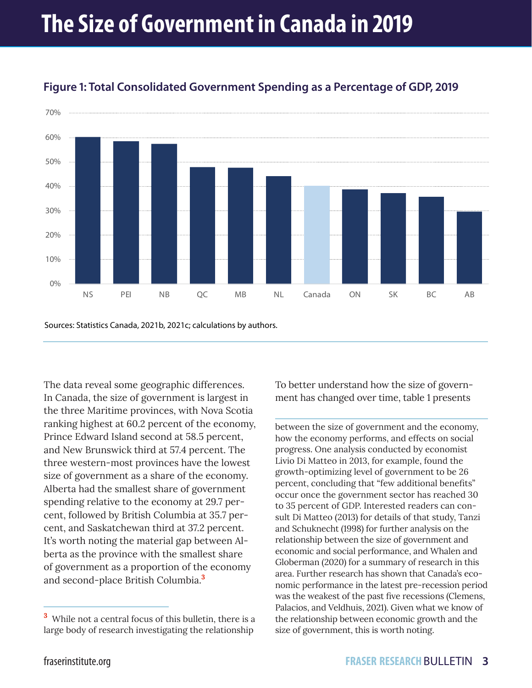

#### **Figure 1: Total Consolidated Government Spending as a Percentage of GDP, 2019**

Sources: Statistics Canada, 2021b, 2021c; calculations by authors.

The data reveal some geographic differences. In Canada, the size of government is largest in the three Maritime provinces, with Nova Scotia ranking highest at 60.2 percent of the economy, Prince Edward Island second at 58.5 percent, and New Brunswick third at 57.4 percent. The three western-most provinces have the lowest size of government as a share of the economy. Alberta had the smallest share of government spending relative to the economy at 29.7 percent, followed by British Columbia at 35.7 percent, and Saskatchewan third at 37.2 percent. It's worth noting the material gap between Alberta as the province with the smallest share of government as a proportion of the economy and second-place British Columbia.**<sup>3</sup>**

To better understand how the size of government has changed over time, table 1 presents

between the size of government and the economy, how the economy performs, and effects on social progress. One analysis conducted by economist Livio Di Matteo in 2013, for example, found the growth-optimizing level of government to be 26 percent, concluding that "few additional benefits" occur once the government sector has reached 30 to 35 percent of GDP. Interested readers can consult Di Matteo (2013) for details of that study, Tanzi and Schuknecht (1998) for further analysis on the relationship between the size of government and economic and social performance, and Whalen and Globerman (2020) for a summary of research in this area. Further research has shown that Canada's economic performance in the latest pre-recession period was the weakest of the past five recessions (Clemens, Palacios, and Veldhuis, 2021). Given what we know of the relationship between economic growth and the size of government, this is worth noting.

**<sup>3</sup>** While not a central focus of this bulletin, there is a large body of research investigating the relationship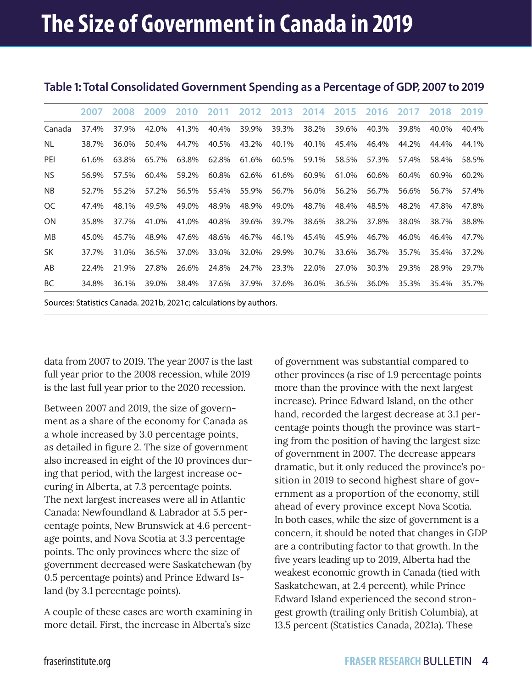|           | 2007  | 2008  | 2009  | 2010  | 2011  | 2012 2013 |       | 2014  | 2015  | -2016 | 2017  | 2018  | -2019 |
|-----------|-------|-------|-------|-------|-------|-----------|-------|-------|-------|-------|-------|-------|-------|
| Canada    | 37.4% | 37.9% | 42.0% | 41.3% | 40.4% | 39.9%     | 39.3% | 38.2% | 39.6% | 40.3% | 39.8% | 40.0% | 40.4% |
| NL.       | 38.7% | 36.0% | 50.4% | 44.7% | 40.5% | 43.2%     | 40.1% | 40.1% | 45.4% | 46.4% | 44.2% | 44.4% | 44.1% |
| PEI       | 61.6% | 63.8% | 65.7% | 63.8% | 62.8% | 61.6%     | 60.5% | 59.1% | 58.5% | 57.3% | 57.4% | 58.4% | 58.5% |
| NS.       | 56.9% | 57.5% | 60.4% | 59.2% | 60.8% | 62.6%     | 61.6% | 60.9% | 61.0% | 60.6% | 60.4% | 60.9% | 60.2% |
| NB        | 52.7% | 55.2% | 57.2% | 56.5% | 55.4% | 55.9%     | 56.7% | 56.0% | 56.2% | 56.7% | 56.6% | 56.7% | 57.4% |
| QC        | 47.4% | 48.1% | 49.5% | 49.0% | 48.9% | 48.9%     | 49.0% | 48.7% | 48.4% | 48.5% | 48.2% | 47.8% | 47.8% |
| <b>ON</b> | 35.8% | 37.7% | 41.0% | 41.0% | 40.8% | 39.6%     | 39.7% | 38.6% | 38.2% | 37.8% | 38.0% | 38.7% | 38.8% |
| <b>MB</b> | 45.0% | 45.7% | 48.9% | 47.6% | 48.6% | 46.7%     | 46.1% | 45.4% | 45.9% | 46.7% | 46.0% | 46.4% | 47.7% |
| <b>SK</b> | 37.7% | 31.0% | 36.5% | 37.0% | 33.0% | 32.0%     | 29.9% | 30.7% | 33.6% | 36.7% | 35.7% | 35.4% | 37.2% |
| AB        | 22.4% | 21.9% | 27.8% | 26.6% | 24.8% | 24.7%     | 23.3% | 22.0% | 27.0% | 30.3% | 29.3% | 28.9% | 29.7% |
| <b>BC</b> | 34.8% | 36.1% | 39.0% | 38.4% | 37.6% | 37.9%     | 37.6% | 36.0% | 36.5% | 36.0% | 35.3% | 35.4% | 35.7% |
|           |       |       |       |       |       |           |       |       |       |       |       |       |       |

#### **Table 1: Total Consolidated Government Spending as a Percentage of GDP, 2007 to 2019**

Sources: Statistics Canada. 2021b, 2021c; calculations by authors.

data from 2007 to 2019. The year 2007 is the last full year prior to the 2008 recession, while 2019 is the last full year prior to the 2020 recession.

Between 2007 and 2019, the size of government as a share of the economy for Canada as a whole increased by 3.0 percentage points, as detailed in figure 2. The size of government also increased in eight of the 10 provinces during that period, with the largest increase occuring in Alberta, at 7.3 percentage points. The next largest increases were all in Atlantic Canada: Newfoundland & Labrador at 5.5 percentage points, New Brunswick at 4.6 percentage points, and Nova Scotia at 3.3 percentage points. The only provinces where the size of government decreased were Saskatchewan (by 0.5 percentage points) and Prince Edward Island (by 3.1 percentage points)**.** 

A couple of these cases are worth examining in more detail. First, the increase in Alberta's size

of government was substantial compared to other provinces (a rise of 1.9 percentage points more than the province with the next largest increase). Prince Edward Island, on the other hand, recorded the largest decrease at 3.1 percentage points though the province was starting from the position of having the largest size of government in 2007. The decrease appears dramatic, but it only reduced the province's position in 2019 to second highest share of government as a proportion of the economy, still ahead of every province except Nova Scotia. In both cases, while the size of government is a concern, it should be noted that changes in GDP are a contributing factor to that growth. In the five years leading up to 2019, Alberta had the weakest economic growth in Canada (tied with Saskatchewan, at 2.4 percent), while Prince Edward Island experienced the second strongest growth (trailing only British Columbia), at 13.5 percent (Statistics Canada, 2021a). These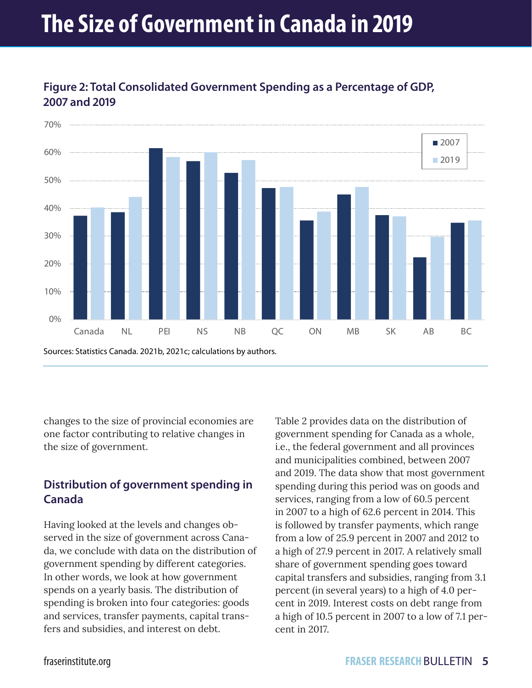## **The Size of Government in Canada in 2019**



#### **Figure 2: Total Consolidated Government Spending as a Percentage of GDP, 2007 and 2019**

changes to the size of provincial economies are one factor contributing to relative changes in the size of government.

#### **Distribution of government spending in Canada**

Having looked at the levels and changes observed in the size of government across Canada, we conclude with data on the distribution of government spending by different categories. In other words, we look at how government spends on a yearly basis. The distribution of spending is broken into four categories: goods and services, transfer payments, capital transfers and subsidies, and interest on debt.

Table 2 provides data on the distribution of government spending for Canada as a whole, i.e., the federal government and all provinces and municipalities combined, between 2007 and 2019. The data show that most government spending during this period was on goods and services, ranging from a low of 60.5 percent in 2007 to a high of 62.6 percent in 2014. This is followed by transfer payments, which range from a low of 25.9 percent in 2007 and 2012 to a high of 27.9 percent in 2017. A relatively small share of government spending goes toward capital transfers and subsidies, ranging from 3.1 percent (in several years) to a high of 4.0 percent in 2019. Interest costs on debt range from a high of 10.5 percent in 2007 to a low of 7.1 percent in 2017.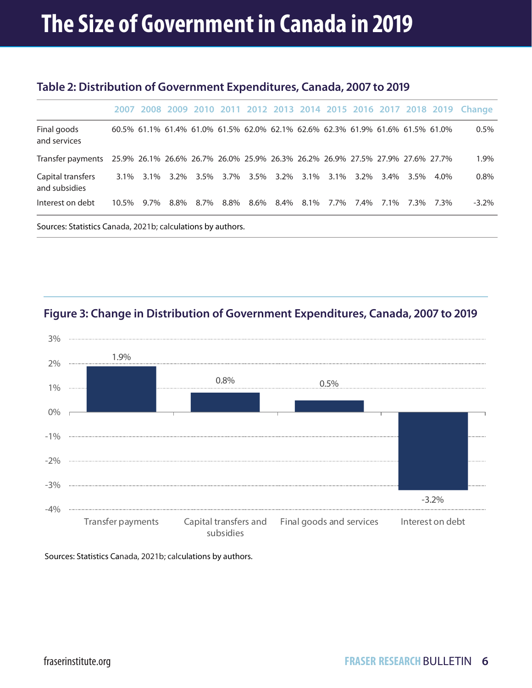#### **Table 2: Distribution of Government Expenditures, Canada, 2007 to 2019**

|                                                                                                 |       |      |           |  |                                                                               |  |  | 2007 2008 2009 2010 2011 2012 2013 2014 2015 2016 2017 2018 2019 Change |
|-------------------------------------------------------------------------------------------------|-------|------|-----------|--|-------------------------------------------------------------------------------|--|--|-------------------------------------------------------------------------|
|                                                                                                 |       |      |           |  |                                                                               |  |  |                                                                         |
| Final goods<br>and services                                                                     |       |      |           |  | 60.5% 61.1% 61.4% 61.0% 61.5% 62.0% 62.1% 62.6% 62.3% 61.9% 61.6% 61.5% 61.0% |  |  | $0.5\%$                                                                 |
| Transfer payments 25.9% 26.1% 26.6% 26.7% 26.0% 25.9% 26.3% 26.2% 26.9% 27.5% 27.9% 27.6% 27.7% |       |      |           |  |                                                                               |  |  | 1.9%                                                                    |
| Capital transfers<br>and subsidies                                                              |       |      |           |  | 3.1% 3.1% 3.2% 3.5% 3.7% 3.5% 3.2% 3.1% 3.1% 3.2% 3.4% 3.5% 4.0%              |  |  | $0.8\%$                                                                 |
| Interest on debt                                                                                | 10.5% | 9.7% | 8.8% 8.7% |  | 8.8% 8.6% 8.4% 8.1% 7.7% 7.4% 7.1% 7.3% 7.3%                                  |  |  | $-3.2\%$                                                                |
|                                                                                                 |       |      |           |  |                                                                               |  |  |                                                                         |

Sources: Statistics Canada, 2021b; calculations by authors.





Sources: Statistics Canada, 2021b; calculations by authors.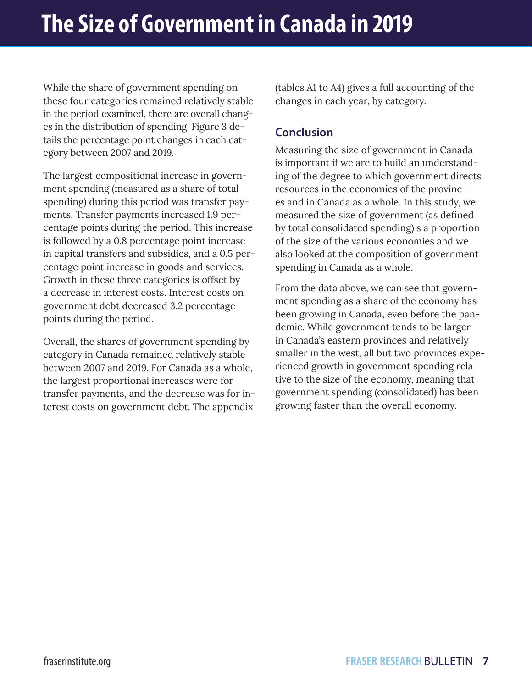While the share of government spending on these four categories remained relatively stable in the period examined, there are overall changes in the distribution of spending. Figure 3 details the percentage point changes in each category between 2007 and 2019.

The largest compositional increase in government spending (measured as a share of total spending) during this period was transfer payments. Transfer payments increased 1.9 percentage points during the period. This increase is followed by a 0.8 percentage point increase in capital transfers and subsidies, and a 0.5 percentage point increase in goods and services. Growth in these three categories is offset by a decrease in interest costs. Interest costs on government debt decreased 3.2 percentage points during the period.

Overall, the shares of government spending by category in Canada remained relatively stable between 2007 and 2019. For Canada as a whole, the largest proportional increases were for transfer payments, and the decrease was for interest costs on government debt. The appendix

(tables A1 to A4) gives a full accounting of the changes in each year, by category.

#### **Conclusion**

Measuring the size of government in Canada is important if we are to build an understanding of the degree to which government directs resources in the economies of the provinces and in Canada as a whole. In this study, we measured the size of government (as defined by total consolidated spending) s a proportion of the size of the various economies and we also looked at the composition of government spending in Canada as a whole.

From the data above, we can see that government spending as a share of the economy has been growing in Canada, even before the pandemic. While government tends to be larger in Canada's eastern provinces and relatively smaller in the west, all but two provinces experienced growth in government spending relative to the size of the economy, meaning that government spending (consolidated) has been growing faster than the overall economy.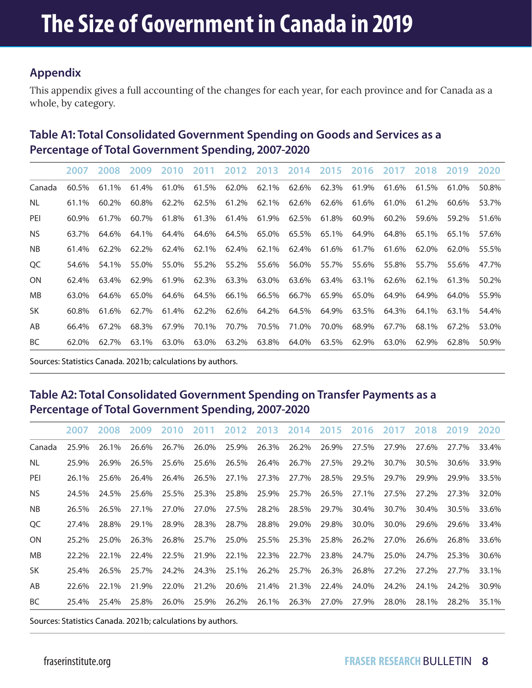#### **Appendix**

This appendix gives a full accounting of the changes for each year, for each province and for Canada as a whole, by category.

#### **Table A1: Total Consolidated Government Spending on Goods and Services as a Percentage of Total Government Spending, 2007-2020**

|           |          |       |       | 2007 2008 2009 2010 2011 2012 2013 2014 2015 2016 2017 2018 2019 2020 |       |             |             |             |                                                                                  |       |                         |             |       |       |
|-----------|----------|-------|-------|-----------------------------------------------------------------------|-------|-------------|-------------|-------------|----------------------------------------------------------------------------------|-------|-------------------------|-------------|-------|-------|
| Canada    | $60.5\%$ | 61.1% |       | 61.4% 61.0%                                                           |       |             |             |             | $61.5\%$ 62.0% 62.1% 62.6% 62.3% 61.9% 61.6%                                     |       |                         | 61.5%       | 61.0% | 50.8% |
| NL.       | 61.1%    | 60.2% | 60.8% | 62.2%                                                                 |       |             |             |             | $62.5\%$ 61.2% 62.1% 62.6% 62.6% 61.6% 61.0%                                     |       |                         | 61.2%       | 60.6% | 53.7% |
| PEI       | 60.9%    | 61.7% | 60.7% | 61.8%                                                                 |       |             |             |             | 61.3% 61.4% 61.9% 62.5% 61.8% 60.9%                                              |       | 60.2%                   | 59.6%       | 59.2% | 51.6% |
| NS.       | 63.7%    | 64.6% | 64.1% | 64.4%                                                                 |       |             |             |             | 64.6% 64.5% 65.0% 65.5% 65.1% 64.9%                                              |       |                         | 64.8% 65.1% | 65.1% | 57.6% |
| <b>NB</b> | 61.4%    | 62.2% | 62.2% | 62.4%                                                                 |       |             |             |             | 62.1% 62.4% 62.1% 62.4% 61.6% 61.7% 61.6% 62.0%                                  |       |                         |             | 62.0% | 55.5% |
| QC        | 54.6%    | 54.1% | 55.0% | 55.0%                                                                 |       |             |             |             | 55.2% 55.2% 55.6% 56.0% 55.7% 55.6% 55.8% 55.7%                                  |       |                         |             | 55.6% | 47.7% |
| <b>ON</b> | 62.4%    | 63.4% | 62.9% | 61.9%                                                                 |       |             |             |             | $62.3\%$ $63.3\%$ $63.0\%$ $63.6\%$ $63.4\%$ $63.1\%$ $62.6\%$ $62.1\%$ $61.3\%$ |       |                         |             |       | 50.2% |
| MB.       | 63.0%    | 64.6% | 65.0% | 64.6%                                                                 |       |             |             |             | 64.5% 66.1% 66.5% 66.7% 65.9% 65.0%                                              |       | 64.9%                   | 64.9%       | 64.0% | 55.9% |
| <b>SK</b> | 60.8%    | 61.6% | 62.7% | 61.4%                                                                 |       | 62.2% 62.6% | 64.2% 64.5% |             |                                                                                  |       | 64.9% 63.5% 64.3% 64.1% |             | 63.1% | 54.4% |
| AB        | 66.4%    | 67.2% | 68.3% | 67.9%                                                                 |       |             |             |             | 70.1% 70.7% 70.5% 71.0% 70.0% 68.9%                                              |       | 67.7%                   | 68.1%       | 67.2% | 53.0% |
| BC        | 62.0%    | 62.7% | 63.1% | 63.0%                                                                 | 63.0% | 63.2%       |             | 63.8% 64.0% | 63.5%                                                                            | 62.9% | 63.0%                   | 62.9%       | 62.8% | 50.9% |

Sources: Statistics Canada. 2021b; calculations by authors.

#### **Table A2: Total Consolidated Government Spending on Transfer Payments as a Percentage of Total Government Spending, 2007-2020**

|           | 2007  | 2008  | 2009  | 2010  | 2011  |             | 2012 2013 2014 2015 2016 2017 2018 |             |       |       |       |       | 2019 2020 |       |
|-----------|-------|-------|-------|-------|-------|-------------|------------------------------------|-------------|-------|-------|-------|-------|-----------|-------|
| Canada    | 25.9% | 26.1% | 26.6% | 26.7% | 26.0% | 25.9%       | 26.3%                              | 26.2%       | 26.9% | 27.5% | 27.9% | 27.6% | 27.7%     | 33.4% |
| NL.       | 25.9% | 26.9% | 26.5% | 25.6% | 25.6% | 26.5%       | 26.4%                              | 26.7%       | 27.5% | 29.2% | 30.7% | 30.5% | 30.6%     | 33.9% |
| PEI       | 26.1% | 25.6% | 26.4% | 26.4% | 26.5% | 27.1%       | 27.3%                              | 27.7%       | 28.5% | 29.5% | 29.7% | 29.9% | 29.9%     | 33.5% |
| NS.       | 24.5% | 24.5% | 25.6% | 25.5% | 25.3% | 25.8%       | 25.9%                              | 25.7%       | 26.5% | 27.1% | 27.5% | 27.2% | 27.3%     | 32.0% |
| NB.       | 26.5% | 26.5% | 27.1% | 27.0% | 27.0% | 27.5%       | 28.2%                              | 28.5%       | 29.7% | 30.4% | 30.7% | 30.4% | 30.5%     | 33.6% |
| OC.       | 27.4% | 28.8% | 29.1% | 28.9% |       | 28.3% 28.7% |                                    | 28.8% 29.0% | 29.8% | 30.0% | 30.0% | 29.6% | 29.6%     | 33.4% |
| <b>ON</b> | 25.2% | 25.0% | 26.3% | 26.8% |       | 25.7% 25.0% |                                    | 25.5% 25.3% | 25.8% | 26.2% | 27.0% | 26.6% | 26.8%     | 33.6% |
| MB.       | 22.2% | 22.1% | 22.4% | 22.5% | 21.9% | 22.1%       | 22.3%                              | 22.7%       | 23.8% | 24.7% | 25.0% | 24.7% | 25.3%     | 30.6% |
| SK.       | 25.4% | 26.5% | 25.7% | 24.2% | 24.3% | 25.1%       | 26.2%                              | 25.7%       | 26.3% | 26.8% | 27.2% | 27.2% | 27.7%     | 33.1% |
| AB        | 22.6% | 22.1% | 21.9% | 22.0% | 21.2% | 20.6%       | 21.4%                              | 21.3%       | 22.4% | 24.0% | 24.2% | 24.1% | 24.2%     | 30.9% |
| BC        | 25.4% | 25.4% | 25.8% | 26.0% | 25.9% | 26.2%       | 26.1%                              | 26.3%       | 27.0% | 27.9% | 28.0% | 28.1% | 28.2%     | 35.1% |

Sources: Statistics Canada. 2021b; calculations by authors.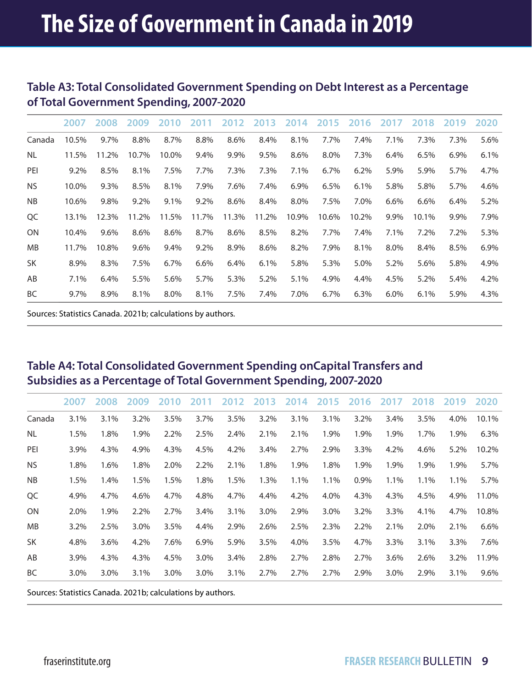#### **Table A3: Total Consolidated Government Spending on Debt Interest as a Percentage of Total Government Spending, 2007-2020**

|           | 2007  | 2008  | 2009    | 2010    | 2011    | 2012  | 2013  | 2014  | 2015  | 2016  | 2017    | 2018    | 2019 | 2020    |
|-----------|-------|-------|---------|---------|---------|-------|-------|-------|-------|-------|---------|---------|------|---------|
| Canada    | 10.5% | 9.7%  | 8.8%    | 8.7%    | 8.8%    | 8.6%  | 8.4%  | 8.1%  | 7.7%  | 7.4%  | 7.1%    | 7.3%    | 7.3% | 5.6%    |
| NL        | 11.5% | 11.2% | 10.7%   | 10.0%   | 9.4%    | 9.9%  | 9.5%  | 8.6%  | 8.0%  | 7.3%  | 6.4%    | 6.5%    | 6.9% | 6.1%    |
| PEI       | 9.2%  | 8.5%  | 8.1%    | 7.5%    | 7.7%    | 7.3%  | 7.3%  | 7.1%  | 6.7%  | 6.2%  | 5.9%    | 5.9%    | 5.7% | 4.7%    |
| <b>NS</b> | 10.0% | 9.3%  | 8.5%    | 8.1%    | 7.9%    | 7.6%  | 7.4%  | 6.9%  | 6.5%  | 6.1%  | 5.8%    | 5.8%    | 5.7% | 4.6%    |
| <b>NB</b> | 10.6% | 9.8%  | $9.2\%$ | 9.1%    | $9.2\%$ | 8.6%  | 8.4%  | 8.0%  | 7.5%  | 7.0%  | $6.6\%$ | 6.6%    | 6.4% | 5.2%    |
| QC        | 13.1% | 12.3% | 11.2%   | 11.5%   | 11.7%   | 11.3% | 11.2% | 10.9% | 10.6% | 10.2% | 9.9%    | 10.1%   | 9.9% | 7.9%    |
| <b>ON</b> | 10.4% | 9.6%  | 8.6%    | 8.6%    | 8.7%    | 8.6%  | 8.5%  | 8.2%  | 7.7%  | 7.4%  | 7.1%    | $7.2\%$ | 7.2% | 5.3%    |
| <b>MB</b> | 11.7% | 10.8% | 9.6%    | 9.4%    | 9.2%    | 8.9%  | 8.6%  | 8.2%  | 7.9%  | 8.1%  | 8.0%    | 8.4%    | 8.5% | $6.9\%$ |
| <b>SK</b> | 8.9%  | 8.3%  | 7.5%    | $6.7\%$ | 6.6%    | 6.4%  | 6.1%  | 5.8%  | 5.3%  | 5.0%  | 5.2%    | 5.6%    | 5.8% | 4.9%    |
| AB        | 7.1%  | 6.4%  | 5.5%    | 5.6%    | 5.7%    | 5.3%  | 5.2%  | 5.1%  | 4.9%  | 4.4%  | 4.5%    | 5.2%    | 5.4% | 4.2%    |
| BC        | 9.7%  | 8.9%  | 8.1%    | 8.0%    | 8.1%    | 7.5%  | 7.4%  | 7.0%  | 6.7%  | 6.3%  | 6.0%    | 6.1%    | 5.9% | 4.3%    |

Sources: Statistics Canada. 2021b; calculations by authors.

#### **Table A4: Total Consolidated Government Spending onCapital Transfers and Subsidies as a Percentage of Total Government Spending, 2007-2020**

|           | 2007 | 2008    | 2009 | 2010 | 2011    | 2012 | 2013 | 2014 | 2015 | 2016 | 2017 | 2018 | 2019 | 2020  |
|-----------|------|---------|------|------|---------|------|------|------|------|------|------|------|------|-------|
| Canada    | 3.1% | 3.1%    | 3.2% | 3.5% | 3.7%    | 3.5% | 3.2% | 3.1% | 3.1% | 3.2% | 3.4% | 3.5% | 4.0% | 10.1% |
| NL        | 1.5% | 1.8%    | 1.9% | 2.2% | 2.5%    | 2.4% | 2.1% | 2.1% | 1.9% | 1.9% | 1.9% | 1.7% | 1.9% | 6.3%  |
| PEI       | 3.9% | 4.3%    | 4.9% | 4.3% | 4.5%    | 4.2% | 3.4% | 2.7% | 2.9% | 3.3% | 4.2% | 4.6% | 5.2% | 10.2% |
| NS.       | 1.8% | 1.6%    | 1.8% | 2.0% | 2.2%    | 2.1% | 1.8% | 1.9% | 1.8% | 1.9% | 1.9% | 1.9% | 1.9% | 5.7%  |
| <b>NB</b> | 1.5% | 1.4%    | 1.5% | 1.5% | 1.8%    | 1.5% | 1.3% | 1.1% | 1.1% | 0.9% | 1.1% | 1.1% | 1.1% | 5.7%  |
| QC        | 4.9% | 4.7%    | 4.6% | 4.7% | 4.8%    | 4.7% | 4.4% | 4.2% | 4.0% | 4.3% | 4.3% | 4.5% | 4.9% | 11.0% |
| ON        | 2.0% | 1.9%    | 2.2% | 2.7% | 3.4%    | 3.1% | 3.0% | 2.9% | 3.0% | 3.2% | 3.3% | 4.1% | 4.7% | 10.8% |
| <b>MB</b> | 3.2% | 2.5%    | 3.0% | 3.5% | 4.4%    | 2.9% | 2.6% | 2.5% | 2.3% | 2.2% | 2.1% | 2.0% | 2.1% | 6.6%  |
| SK        | 4.8% | $3.6\%$ | 4.2% | 7.6% | 6.9%    | 5.9% | 3.5% | 4.0% | 3.5% | 4.7% | 3.3% | 3.1% | 3.3% | 7.6%  |
| AB        | 3.9% | 4.3%    | 4.3% | 4.5% | $3.0\%$ | 3.4% | 2.8% | 2.7% | 2.8% | 2.7% | 3.6% | 2.6% | 3.2% | 11.9% |
| BC        | 3.0% | 3.0%    | 3.1% | 3.0% | $3.0\%$ | 3.1% | 2.7% | 2.7% | 2.7% | 2.9% | 3.0% | 2.9% | 3.1% | 9.6%  |
|           |      |         |      |      |         |      |      |      |      |      |      |      |      |       |

Sources: Statistics Canada. 2021b; calculations by authors.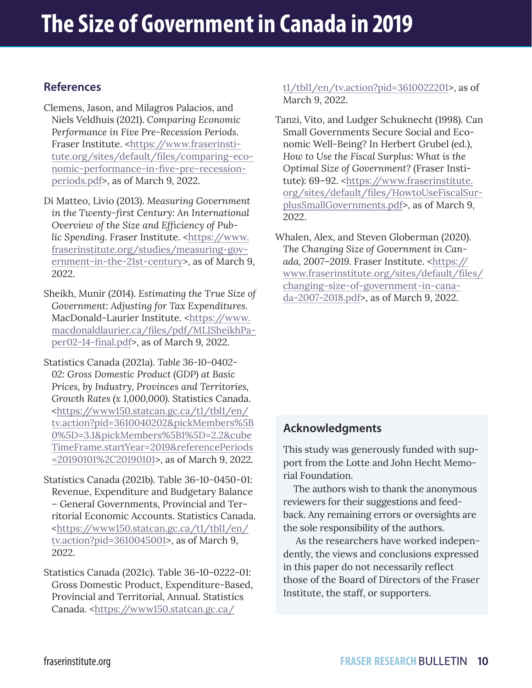#### **References**

- Clemens, Jason, and Milagros Palacios, and Niels Veldhuis (2021). *Comparing Economic Performance in Five Pre-Recession Periods*. Fraser Institute. <[https://www.fraserinsti](https://www.fraserinstitute.org/sites/default/files/comparing-economic-performance-in-five-pre-recession-periods.pdf)[tute.org/sites/default/files/comparing-eco](https://www.fraserinstitute.org/sites/default/files/comparing-economic-performance-in-five-pre-recession-periods.pdf)[nomic-performance-in-five-pre-recession](https://www.fraserinstitute.org/sites/default/files/comparing-economic-performance-in-five-pre-recession-periods.pdf)[periods.pdf](https://www.fraserinstitute.org/sites/default/files/comparing-economic-performance-in-five-pre-recession-periods.pdf)>, as of March 9, 2022.
- Di Matteo, Livio (2013). *Measuring Government in the Twenty-first Century: An International Overview of the Size and Efficiency of Public Spending*. Fraser Institute. <[https://www.](https://www.fraserinstitute.org/studies/measuring-government-in-the-21st-century) [fraserinstitute.org/studies/measuring-gov](https://www.fraserinstitute.org/studies/measuring-government-in-the-21st-century)[ernment-in-the-21st-century](https://www.fraserinstitute.org/studies/measuring-government-in-the-21st-century)>, as of March 9, 2022.
- Sheikh, Munir (2014). *Estimating the True Size of Government: Adjusting for Tax Expenditures*. MacDonald-Laurier Institute. [<https://www.](https://www.macdonaldlaurier.ca/files/pdf/MLISheikhPaper02-14-final.pdf) [macdonaldlaurier.ca/files/pdf/MLISheikhPa](https://www.macdonaldlaurier.ca/files/pdf/MLISheikhPaper02-14-final.pdf)[per02-14-final.pdf](https://www.macdonaldlaurier.ca/files/pdf/MLISheikhPaper02-14-final.pdf)>, as of March 9, 2022.
- Statistics Canada (2021a). *Table 36-10-0402- 02: Gross Domestic Product (GDP) at Basic Prices, by Industry, Provinces and Territories, Growth Rates (x 1,000,000).* Statistics Canada. [<https://www150.statcan.gc.ca/t1/tbl1/en/](https://www150.statcan.gc.ca/t1/tbl1/en/tv.action?pid=3610040202&pickMembers%5B0%5D=3.1&pickMembers%5B1%5D=2.2&cubeTimeFrame.startYear=2019&referencePeriods=20190101%2C20190101) [tv.action?pid=3610040202&pickMembers%5B](https://www150.statcan.gc.ca/t1/tbl1/en/tv.action?pid=3610040202&pickMembers%5B0%5D=3.1&pickMembers%5B1%5D=2.2&cubeTimeFrame.startYear=2019&referencePeriods=20190101%2C20190101) [0%5D=3.1&pickMembers%5B1%5D=2.2&cube](https://www150.statcan.gc.ca/t1/tbl1/en/tv.action?pid=3610040202&pickMembers%5B0%5D=3.1&pickMembers%5B1%5D=2.2&cubeTimeFrame.startYear=2019&referencePeriods=20190101%2C20190101) [TimeFrame.startYear=2019&referencePeriods](https://www150.statcan.gc.ca/t1/tbl1/en/tv.action?pid=3610040202&pickMembers%5B0%5D=3.1&pickMembers%5B1%5D=2.2&cubeTimeFrame.startYear=2019&referencePeriods=20190101%2C20190101) [=20190101%2C20190101>](https://www150.statcan.gc.ca/t1/tbl1/en/tv.action?pid=3610040202&pickMembers%5B0%5D=3.1&pickMembers%5B1%5D=2.2&cubeTimeFrame.startYear=2019&referencePeriods=20190101%2C20190101), as of March 9, 2022.
- Statistics Canada (2021b). Table 36-10-0450-01: Revenue, Expenditure and Budgetary Balance – General Governments, Provincial and Territorial Economic Accounts. Statistics Canada. <https://www150.statcan.gc.ca/t1/tbl1/en/ tv.action?pid=3610045001>, as of March 9, 2022.
- Statistics Canada (2021c). Table 36-10-0222-01: Gross Domestic Product, Expenditure-Based, Provincial and Territorial, Annual. Statistics Canada. <https://www150.statcan.gc.ca/

t1/tbl1/en/tv.action?pid=3610022201>, as of March 9, 2022.

- Tanzi, Vito, and Ludger Schuknecht (1998). Can Small Governments Secure Social and Economic Well-Being? In Herbert Grubel (ed.), *How to Use the Fiscal Surplus: What is the Optimal Size of Government?* (Fraser Institute): 69-92. <[https://www.fraserinstitute.](https://www.fraserinstitute.org/sites/default/files/HowtoUseFiscalSurplusSmallGovernments.pdf) [org/sites/default/files/HowtoUseFiscalSur](https://www.fraserinstitute.org/sites/default/files/HowtoUseFiscalSurplusSmallGovernments.pdf)[plusSmallGovernments.pdf>](https://www.fraserinstitute.org/sites/default/files/HowtoUseFiscalSurplusSmallGovernments.pdf), as of March 9, 2022.
- Whalen, Alex, and Steven Globerman (2020). *The Changing Size of Government in Canada, 2007–2019.* Fraser Institute. <[https://](https://www.fraserinstitute.org/sites/default/files/changing-size-of-government-in-canada-2007-2018.pdf) [www.fraserinstitute.org/sites/default/files/](https://www.fraserinstitute.org/sites/default/files/changing-size-of-government-in-canada-2007-2018.pdf) [changing-size-of-government-in-cana](https://www.fraserinstitute.org/sites/default/files/changing-size-of-government-in-canada-2007-2018.pdf)[da-2007-2018.pdf>](https://www.fraserinstitute.org/sites/default/files/changing-size-of-government-in-canada-2007-2018.pdf), as of March 9, 2022.

#### **Acknowledgments**

This study was generously funded with support from the Lotte and John Hecht Memorial Foundation.

 The authors wish to thank the anonymous reviewers for their suggestions and feedback. Any remaining errors or oversights are the sole responsibility of the authors.

 As the researchers have worked independently, the views and conclusions expressed in this paper do not necessarily reflect those of the Board of Directors of the Fraser Institute, the staff, or supporters.